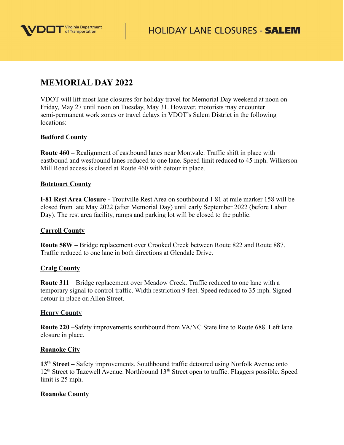

# **MEMORIAL DAY 2022**

VDOT will lift most lane closures for holiday travel for Memorial Day weekend at noon on Friday, May 27 until noon on Tuesday, May 31. However, motorists may encounter semi-permanent work zones or travel delays in VDOT's Salem District in the following locations:

## **Bedford County**

**Route 460 –** Realignment of eastbound lanes near Montvale. Traffic shift in place with eastbound and westbound lanes reduced to one lane. Speed limit reduced to 45 mph. Wilkerson Mill Road access is closed at Route 460 with detour in place.

### **Botetourt County**

**I-81 Rest Area Closure -** Troutville Rest Area on southbound I-81 at mile marker 158 will be closed from late May 2022 (after Memorial Day) until early September 2022 (before Labor Day). The rest area facility, ramps and parking lot will be closed to the public.

### **Carroll County**

**Route 58W** – Bridge replacement over Crooked Creek between Route 822 and Route 887. Traffic reduced to one lane in both directions at Glendale Drive.

### **Craig County**

**Route 311** – Bridge replacement over Meadow Creek. Traffic reduced to one lane with a temporary signal to control traffic. Width restriction 9 feet. Speed reduced to 35 mph. Signed detour in place on Allen Street.

### **Henry County**

**Route 220 –**Safety improvements southbound from VA/NC State line to Route 688. Left lane closure in place.

### **Roanoke City**

**13th Street –** Safety improvements. Southbound traffic detoured using Norfolk Avenue onto  $12<sup>th</sup>$  Street to Tazewell Avenue. Northbound  $13<sup>th</sup>$  Street open to traffic. Flaggers possible. Speed limit is 25 mph.

### **Roanoke County**